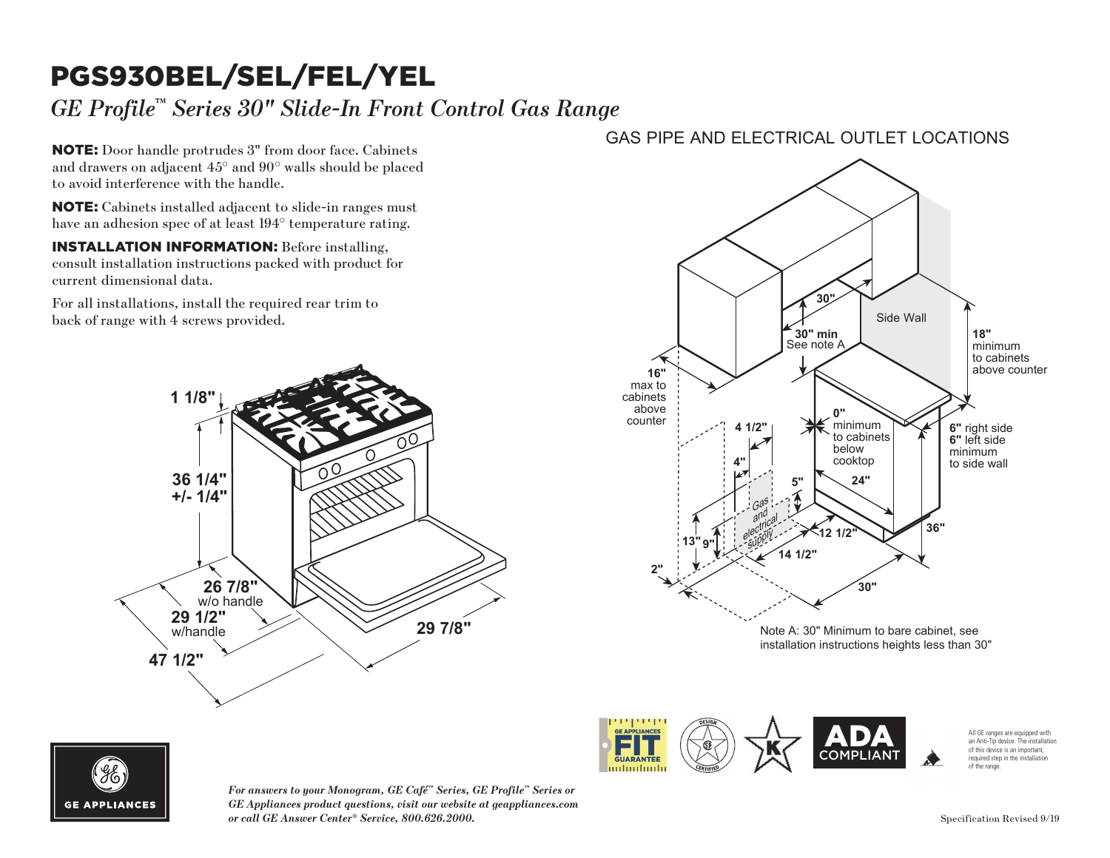## PGS930BEL/SEL/FEL/YEL

## *GE Profile™ Series 30" Slide-In Front Control Gas Range*

NOTE: Door handle protrudes 3" from door face. Cabinets and drawers on adjacent 45° and 90° walls should be placed to avoid interference with the handle. **18"** void inte

NOTE: Cabinets installed adjacent to slide-in ranges must have an adhesion spec of at least 194° temperature rating.  $\mathbf{E}$ : Cabinets

INSTALLATION INFORMATION: Before installing, consult installation instructions packed with product for current dimensional data.

For all installations, install the required rear trim to back of range with 4 screws provided. For all ins



### GAS PIPE AND ELECTRICAL OUTLET LOCATIONS



COMPLIANT

milimilimili



*For answers to your Monogram, GE Café™ Series, GE Profile™ Series or GE Appliances product questions, visit our website at geappliances.com or call GE Answer Center® Service, 800.626.2000.*

All GE ranges are equipped with an Anti-Tip device. The installation of this device is an important, required step in the installation of the range.